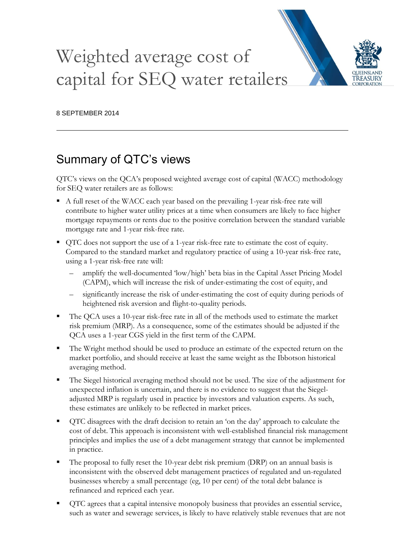# Weighted average cost of capital for SEQ water retailers



# Summary of QTC's views

QTC's views on the QCA's proposed weighted average cost of capital (WACC) methodology for SEQ water retailers are as follows:

- A full reset of the WACC each year based on the prevailing 1-year risk-free rate will contribute to higher water utility prices at a time when consumers are likely to face higher mortgage repayments or rents due to the positive correlation between the standard variable mortgage rate and 1-year risk-free rate.
- QTC does not support the use of a 1-year risk-free rate to estimate the cost of equity. Compared to the standard market and regulatory practice of using a 10-year risk-free rate, using a 1-year risk-free rate will:
	- amplify the well-documented 'low/high' beta bias in the Capital Asset Pricing Model (CAPM), which will increase the risk of under-estimating the cost of equity, and
	- significantly increase the risk of under-estimating the cost of equity during periods of heightened risk aversion and flight-to-quality periods.
- The QCA uses a 10-year risk-free rate in all of the methods used to estimate the market risk premium (MRP). As a consequence, some of the estimates should be adjusted if the QCA uses a 1-year CGS yield in the first term of the CAPM.
- The Wright method should be used to produce an estimate of the expected return on the market portfolio, and should receive at least the same weight as the Ibbotson historical averaging method.
- The Siegel historical averaging method should not be used. The size of the adjustment for unexpected inflation is uncertain, and there is no evidence to suggest that the Siegeladjusted MRP is regularly used in practice by investors and valuation experts. As such, these estimates are unlikely to be reflected in market prices.
- QTC disagrees with the draft decision to retain an 'on the day' approach to calculate the cost of debt. This approach is inconsistent with well-established financial risk management principles and implies the use of a debt management strategy that cannot be implemented in practice.
- The proposal to fully reset the 10-year debt risk premium (DRP) on an annual basis is inconsistent with the observed debt management practices of regulated and un-regulated businesses whereby a small percentage (eg, 10 per cent) of the total debt balance is refinanced and repriced each year.
- QTC agrees that a capital intensive monopoly business that provides an essential service, such as water and sewerage services, is likely to have relatively stable revenues that are not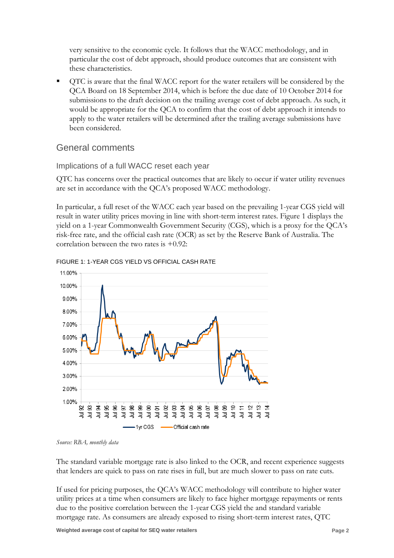very sensitive to the economic cycle. It follows that the WACC methodology, and in particular the cost of debt approach, should produce outcomes that are consistent with these characteristics.

 QTC is aware that the final WACC report for the water retailers will be considered by the QCA Board on 18 September 2014, which is before the due date of 10 October 2014 for submissions to the draft decision on the trailing average cost of debt approach. As such, it would be appropriate for the QCA to confirm that the cost of debt approach it intends to apply to the water retailers will be determined after the trailing average submissions have been considered.

# General comments

# Implications of a full WACC reset each year

QTC has concerns over the practical outcomes that are likely to occur if water utility revenues are set in accordance with the QCA's proposed WACC methodology.

In particular, a full reset of the WACC each year based on the prevailing 1-year CGS yield will result in water utility prices moving in line with short-term interest rates. Figure 1 displays the yield on a 1-year Commonwealth Government Security (CGS), which is a proxy for the QCA's risk-free rate, and the official cash rate (OCR) as set by the Reserve Bank of Australia. The correlation between the two rates is +0.92:





*Source: RBA, monthly data*

The standard variable mortgage rate is also linked to the OCR, and recent experience suggests that lenders are quick to pass on rate rises in full, but are much slower to pass on rate cuts.

If used for pricing purposes, the QCA's WACC methodology will contribute to higher water utility prices at a time when consumers are likely to face higher mortgage repayments or rents due to the positive correlation between the 1-year CGS yield the and standard variable mortgage rate. As consumers are already exposed to rising short-term interest rates, QTC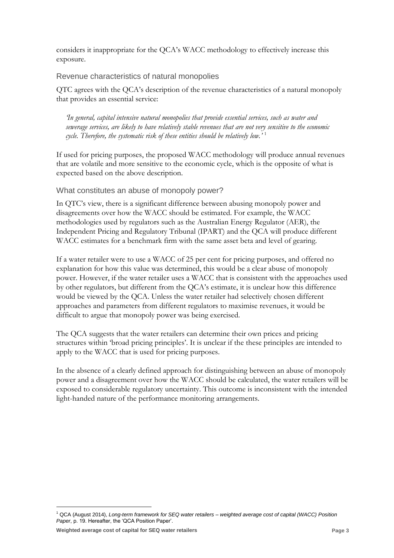considers it inappropriate for the QCA's WACC methodology to effectively increase this exposure.

Revenue characteristics of natural monopolies

QTC agrees with the QCA's description of the revenue characteristics of a natural monopoly that provides an essential service:

*'In general, capital intensive natural monopolies that provide essential services, such as water and sewerage services, are likely to have relatively stable revenues that are not very sensitive to the economic cycle. Therefore, the systematic risk of these entities should be relatively low.'* <sup>1</sup>

If used for pricing purposes, the proposed WACC methodology will produce annual revenues that are volatile and more sensitive to the economic cycle, which is the opposite of what is expected based on the above description.

What constitutes an abuse of monopoly power?

In QTC's view, there is a significant difference between abusing monopoly power and disagreements over how the WACC should be estimated. For example, the WACC methodologies used by regulators such as the Australian Energy Regulator (AER), the Independent Pricing and Regulatory Tribunal (IPART) and the QCA will produce different WACC estimates for a benchmark firm with the same asset beta and level of gearing.

If a water retailer were to use a WACC of 25 per cent for pricing purposes, and offered no explanation for how this value was determined, this would be a clear abuse of monopoly power. However, if the water retailer uses a WACC that is consistent with the approaches used by other regulators, but different from the QCA's estimate, it is unclear how this difference would be viewed by the QCA. Unless the water retailer had selectively chosen different approaches and parameters from different regulators to maximise revenues, it would be difficult to argue that monopoly power was being exercised.

The QCA suggests that the water retailers can determine their own prices and pricing structures within 'broad pricing principles'. It is unclear if the these principles are intended to apply to the WACC that is used for pricing purposes.

In the absence of a clearly defined approach for distinguishing between an abuse of monopoly power and a disagreement over how the WACC should be calculated, the water retailers will be exposed to considerable regulatory uncertainty. This outcome is inconsistent with the intended light-handed nature of the performance monitoring arrangements.

<u>.</u>

<sup>1</sup> QCA (August 2014), *Long-term framework for SEQ water retailers – weighted average cost of capital (WACC) Position Paper*, p. 19. Hereafter, the 'QCA Position Paper'.

**Weighted average cost of capital for SEQ water retailers Page 3**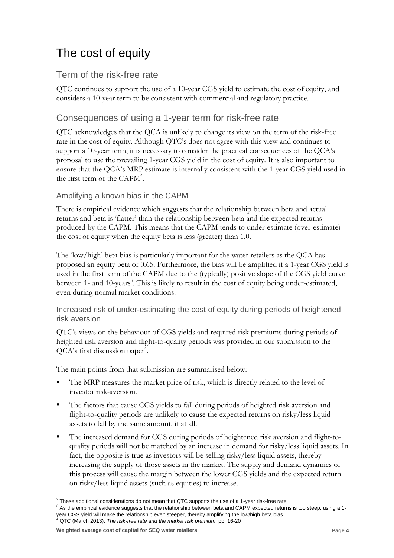# The cost of equity

# Term of the risk-free rate

QTC continues to support the use of a 10-year CGS yield to estimate the cost of equity, and considers a 10-year term to be consistent with commercial and regulatory practice.

# Consequences of using a 1-year term for risk-free rate

QTC acknowledges that the QCA is unlikely to change its view on the term of the risk-free rate in the cost of equity. Although QTC's does not agree with this view and continues to support a 10-year term, it is necessary to consider the practical consequences of the QCA's proposal to use the prevailing 1-year CGS yield in the cost of equity. It is also important to ensure that the QCA's MRP estimate is internally consistent with the 1-year CGS yield used in the first term of the CAPM<sup>2</sup>.

# Amplifying a known bias in the CAPM

There is empirical evidence which suggests that the relationship between beta and actual returns and beta is 'flatter' than the relationship between beta and the expected returns produced by the CAPM. This means that the CAPM tends to under-estimate (over-estimate) the cost of equity when the equity beta is less (greater) than 1.0.

The 'low/high' beta bias is particularly important for the water retailers as the QCA has proposed an equity beta of 0.65. Furthermore, the bias will be amplified if a 1-year CGS yield is used in the first term of the CAPM due to the (typically) positive slope of the CGS yield curve between 1- and 10-years<sup>3</sup>. This is likely to result in the cost of equity being under-estimated, even during normal market conditions.

Increased risk of under-estimating the cost of equity during periods of heightened risk aversion

QTC's views on the behaviour of CGS yields and required risk premiums during periods of heighted risk aversion and flight-to-quality periods was provided in our submission to the QCA's first discussion paper<sup>4</sup>.

The main points from that submission are summarised below:

- The MRP measures the market price of risk, which is directly related to the level of investor risk-aversion.
- The factors that cause CGS yields to fall during periods of heighted risk aversion and flight-to-quality periods are unlikely to cause the expected returns on risky/less liquid assets to fall by the same amount, if at all.
- The increased demand for CGS during periods of heightened risk aversion and flight-toquality periods will not be matched by an increase in demand for risky/less liquid assets. In fact, the opposite is true as investors will be selling risky/less liquid assets, thereby increasing the supply of those assets in the market. The supply and demand dynamics of this process will cause the margin between the lower CGS yields and the expected return on risky/less liquid assets (such as equities) to increase.

<sup>4</sup> QTC (March 2013), *The risk-free rate and the market risk premium*, pp. 16-20

 $2$  These additional considerations do not mean that QTC supports the use of a 1-year risk-free rate.

 $3$  As the empirical evidence suggests that the relationship between beta and CAPM expected returns is too steep, using a 1year CGS yield will make the relationship even steeper, thereby amplifying the low/high beta bias.

**Weighted average cost of capital for SEQ water retailers Page 4**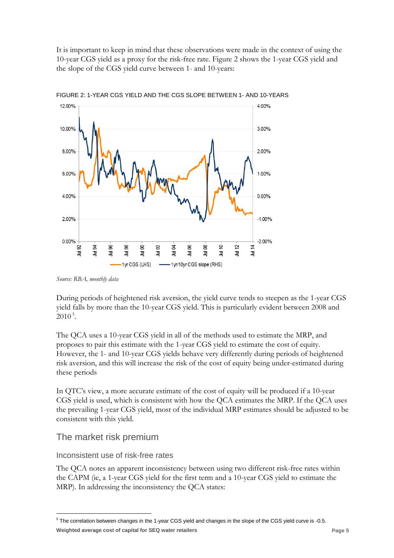It is important to keep in mind that these observations were made in the context of using the 10-year CGS yield as a proxy for the risk-free rate. Figure 2 shows the 1-year CGS yield and the slope of the CGS yield curve between 1- and 10-years:



FIGURE 2: 1-YEAR CGS YIELD AND THE CGS SLOPE BETWEEN 1- AND 10-YEARS

*Source: RBA, monthly data*

During periods of heightened risk aversion, the yield curve tends to steepen as the 1-year CGS yield falls by more than the 10-year CGS yield. This is particularly evident between 2008 and  $2010^5$ .

The QCA uses a 10-year CGS yield in all of the methods used to estimate the MRP, and proposes to pair this estimate with the 1-year CGS yield to estimate the cost of equity. However, the 1- and 10-year CGS yields behave very differently during periods of heightened risk aversion, and this will increase the risk of the cost of equity being under-estimated during these periods

In QTC's view, a more accurate estimate of the cost of equity will be produced if a 10-year CGS yield is used, which is consistent with how the QCA estimates the MRP. If the QCA uses the prevailing 1-year CGS yield, most of the individual MRP estimates should be adjusted to be consistent with this yield.

# The market risk premium

-

# Inconsistent use of risk-free rates

The QCA notes an apparent inconsistency between using two different risk-free rates within the CAPM (ie, a 1-year CGS yield for the first term and a 10-year CGS yield to estimate the MRP). In addressing the inconsistency the QCA states:

**Weighted average cost of capital for SEQ water retailers Page 5** <sup>5</sup> The correlation between changes in the 1-year CGS yield and changes in the slope of the CGS yield curve is -0.5.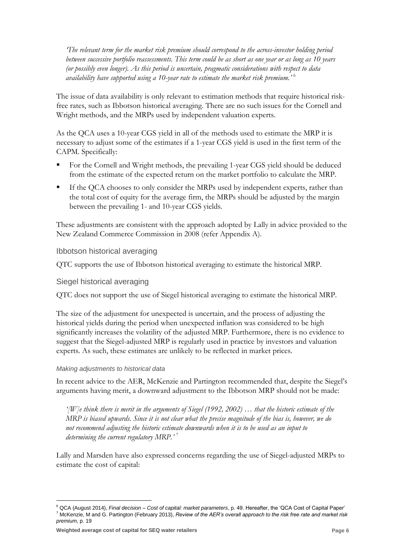*'The relevant term for the market risk premium should correspond to the across-investor holding period between successive portfolio reassessments. This term could be as short as one year or as long as 10 years (or possibly even longer). As this period is uncertain, pragmatic considerations with respect to data availability have supported using a 10-year rate to estimate the market risk premium.'* <sup>6</sup>

The issue of data availability is only relevant to estimation methods that require historical riskfree rates, such as Ibbotson historical averaging. There are no such issues for the Cornell and Wright methods, and the MRPs used by independent valuation experts.

As the QCA uses a 10-year CGS yield in all of the methods used to estimate the MRP it is necessary to adjust some of the estimates if a 1-year CGS yield is used in the first term of the CAPM. Specifically:

- For the Cornell and Wright methods, the prevailing 1-year CGS yield should be deduced from the estimate of the expected return on the market portfolio to calculate the MRP.
- If the QCA chooses to only consider the MRPs used by independent experts, rather than the total cost of equity for the average firm, the MRPs should be adjusted by the margin between the prevailing 1- and 10-year CGS yields.

These adjustments are consistent with the approach adopted by Lally in advice provided to the New Zealand Commerce Commission in 2008 (refer Appendix A).

### Ibbotson historical averaging

QTC supports the use of Ibbotson historical averaging to estimate the historical MRP.

#### Siegel historical averaging

QTC does not support the use of Siegel historical averaging to estimate the historical MRP.

The size of the adjustment for unexpected is uncertain, and the process of adjusting the historical yields during the period when unexpected inflation was considered to be high significantly increases the volatility of the adjusted MRP. Furthermore, there is no evidence to suggest that the Siegel-adjusted MRP is regularly used in practice by investors and valuation experts. As such, these estimates are unlikely to be reflected in market prices.

#### *Making adjustments to historical data*

In recent advice to the AER, McKenzie and Partington recommended that, despite the Siegel's arguments having merit, a downward adjustment to the Ibbotson MRP should not be made:

*'[W]e think there is merit in the arguments of Siegel (1992, 2002) … that the historic estimate of the MRP is biased upwards. Since it is not clear what the precise magnitude of the bias is, however, we do not recommend adjusting the historic estimate downwards when it is to be used as an input to determining the current regulatory MRP.'* <sup>7</sup>

Lally and Marsden have also expressed concerns regarding the use of Siegel-adjusted MRPs to estimate the cost of capital:

<sup>6</sup> QCA (August 2014), *Final decision – Cost of capital: market parameters*, p. 49. Hereafter, the 'QCA Cost of Capital Paper' <sup>7</sup> McKenzie, M and G. Partington (February 2013), *Review of the AER's overall approach to the risk free rate and market risk premium*, p. 19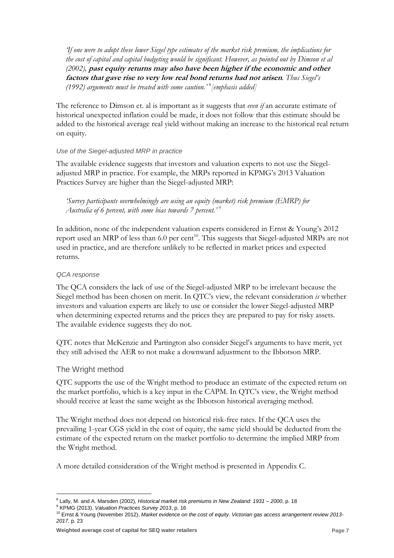*'If one were to adopt these lower Siegel type estimates of the market risk premium, the implications for the cost of capital and capital budgeting would be significant. However, as pointed out by Dimson et al (2002),* **past equity returns may also have been higher if the economic and other factors that gave rise to very low real bond returns had not arisen***. Thus Siegel's (1992) arguments must be treated with some caution.'* <sup>8</sup> *[emphasis added]*

The reference to Dimson et. al is important as it suggests that *even if* an accurate estimate of historical unexpected inflation could be made, it does not follow that this estimate should be added to the historical average real yield without making an increase to the historical real return on equity.

#### *Use of the Siegel-adjusted MRP in practice*

The available evidence suggests that investors and valuation experts to not use the Siegeladjusted MRP in practice. For example, the MRPs reported in KPMG's 2013 Valuation Practices Survey are higher than the Siegel-adjusted MRP:

*'Survey participants overwhelmingly are using an equity (market) risk premium (EMRP) for Australia of 6 percent, with some bias towards 7 percent.'* <sup>9</sup>

In addition, none of the independent valuation experts considered in Ernst & Young's 2012 report used an MRP of less than 6.0 per cent<sup>10</sup>. This suggests that Siegel-adjusted MRPs are not used in practice, and are therefore unlikely to be reflected in market prices and expected returns.

### *QCA response*

The QCA considers the lack of use of the Siegel-adjusted MRP to be irrelevant because the Siegel method has been chosen on merit. In QTC's view, the relevant consideration *is* whether investors and valuation experts are likely to use or consider the lower Siegel-adjusted MRP when determining expected returns and the prices they are prepared to pay for risky assets. The available evidence suggests they do not.

QTC notes that McKenzie and Partington also consider Siegel's arguments to have merit, yet they still advised the AER to not make a downward adjustment to the Ibbotson MRP.

# The Wright method

-

QTC supports the use of the Wright method to produce an estimate of the expected return on the market portfolio, which is a key input in the CAPM. In QTC's view, the Wright method should receive at least the same weight as the Ibbotson historical averaging method.

The Wright method does not depend on historical risk-free rates. If the QCA uses the prevailing 1-year CGS yield in the cost of equity, the same yield should be deducted from the estimate of the expected return on the market portfolio to determine the implied MRP from the Wright method.

A more detailed consideration of the Wright method is presented in Appendix C.

<sup>8</sup> Lally, M. and A. Marsden (2002), *Historical market risk premiums in New Zealand: 1931 – 2000*, p. 18

<sup>9</sup> KPMG (2013). *Valuation Practices Survey 2013*, p. 16

<sup>10</sup> Ernst & Young (November 2012), *Market evidence on the cost of equity. Victorian gas access arrangement review 2013- 2017*, p. 23

**Weighted average cost of capital for SEQ water retailers Page 7**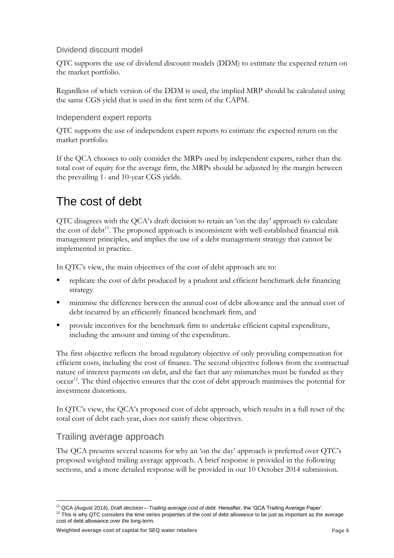# Dividend discount model

QTC supports the use of dividend discount models (DDM) to estimate the expected return on the market portfolio.

Regardless of which version of the DDM is used, the implied MRP should be calculated using the same CGS yield that is used in the first term of the CAPM.

# Independent expert reports

QTC supports the use of independent expert reports to estimate the expected return on the market portfolio.

If the QCA chooses to only consider the MRPs used by independent experts, rather than the total cost of equity for the average firm, the MRPs should be adjusted by the margin between the prevailing 1- and 10-year CGS yields.

# The cost of debt

QTC disagrees with the QCA's draft decision to retain an 'on the day' approach to calculate the cost of debt<sup>11</sup>. The proposed approach is inconsistent with well-established financial risk management principles, and implies the use of a debt management strategy that cannot be implemented in practice.

In QTC's view, the main objectives of the cost of debt approach are to:

- replicate the cost of debt produced by a prudent and efficient benchmark debt financing strategy
- minimise the difference between the annual cost of debt allowance and the annual cost of debt incurred by an efficiently financed benchmark firm, and
- **PED FIRM** The sensor of the benchmark firm to undertake efficient capital expenditure, including the amount and timing of the expenditure.

The first objective reflects the broad regulatory objective of only providing compensation for efficient costs, including the cost of finance. The second objective follows from the contractual nature of interest payments on debt, and the fact that any mismatches must be funded as they occur<sup>12</sup>. The third objective ensures that the cost of debt approach minimises the potential for investment distortions.

In QTC's view, the QCA's proposed cost of debt approach, which results in a full reset of the total cost of debt each year, does not satisfy these objectives.

# Trailing average approach

-

The QCA presents several reasons for why an 'on the day' approach is preferred over QTC's proposed weighted trailing average approach. A brief response is provided in the following sections, and a more detailed response will be provided in our 10 October 2014 submission.

**Weighted average cost of capital for SEQ water retailers Page 8**

<sup>11</sup> QCA (August 2014), *Draft decision – Trailing average cost of debt*. Hereafter, the 'QCA Trailing Average Paper'.  $12$  This is why QTC considers the time series properties of the cost of debt allowance to be just as important as the average cost of debt allowance over the long-term.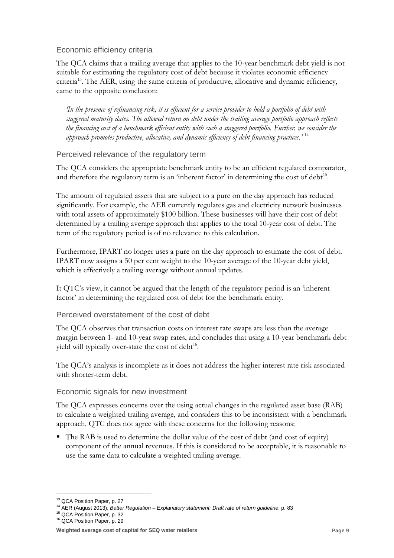# Economic efficiency criteria

The QCA claims that a trailing average that applies to the 10-year benchmark debt yield is not suitable for estimating the regulatory cost of debt because it violates economic efficiency criteria<sup>13</sup>. The AER, using the same criteria of productive, allocative and dynamic efficiency, came to the opposite conclusion:

*'In the presence of refinancing risk, it is efficient for a service provider to hold a portfolio of debt with staggered maturity dates. The allowed return on debt under the trailing average portfolio approach reflects the financing cost of a benchmark efficient entity with such a staggered portfolio. Further, we consider the approach promotes productive, allocative, and dynamic efficiency of debt financing practices.'* <sup>14</sup>

# Perceived relevance of the regulatory term

The QCA considers the appropriate benchmark entity to be an efficient regulated comparator, and therefore the regulatory term is an 'inherent factor' in determining the cost of debt<sup>15</sup>.

The amount of regulated assets that are subject to a pure on the day approach has reduced significantly. For example, the AER currently regulates gas and electricity network businesses with total assets of approximately \$100 billion. These businesses will have their cost of debt determined by a trailing average approach that applies to the total 10-year cost of debt. The term of the regulatory period is of no relevance to this calculation.

Furthermore, IPART no longer uses a pure on the day approach to estimate the cost of debt. IPART now assigns a 50 per cent weight to the 10-year average of the 10-year debt yield, which is effectively a trailing average without annual updates.

It QTC's view, it cannot be argued that the length of the regulatory period is an 'inherent factor' in determining the regulated cost of debt for the benchmark entity.

Perceived overstatement of the cost of debt

The QCA observes that transaction costs on interest rate swaps are less than the average margin between 1- and 10-year swap rates, and concludes that using a 10-year benchmark debt yield will typically over-state the cost of debt<sup>16</sup>.

The QCA's analysis is incomplete as it does not address the higher interest rate risk associated with shorter-term debt.

# Economic signals for new investment

The QCA expresses concerns over the using actual changes in the regulated asset base (RAB) to calculate a weighted trailing average, and considers this to be inconsistent with a benchmark approach. QTC does not agree with these concerns for the following reasons:

 $\blacksquare$  The RAB is used to determine the dollar value of the cost of debt (and cost of equity) component of the annual revenues. If this is considered to be acceptable, it is reasonable to use the same data to calculate a weighted trailing average.

<sup>-</sup><sup>13</sup> QCA Position Paper, p. 27

<sup>14</sup> AER (August 2013), *Better Regulation – Explanatory statement: Draft rate of return guideline*, p. 83

<sup>15</sup> QCA Position Paper, p. 32

<sup>&</sup>lt;sup>16</sup> QCA Position Paper, p. 29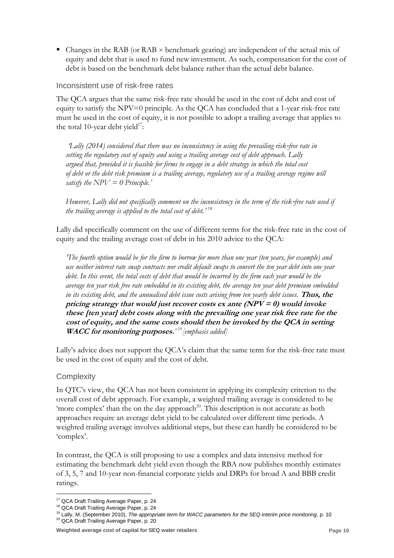Changes in the RAB (or RAB  $\times$  benchmark gearing) are independent of the actual mix of equity and debt that is used to fund new investment. As such, compensation for the cost of debt is based on the benchmark debt balance rather than the actual debt balance.

# Inconsistent use of risk-free rates

The QCA argues that the same risk-free rate should be used in the cost of debt and cost of equity to satisfy the  $NPV=0$  principle. As the QCA has concluded that a 1-year risk-free rate must be used in the cost of equity, it is not possible to adopt a trailing average that applies to the total 10-year debt yield $17$ :

*'Lally (2014) considered that there was no inconsistency in using the prevailing risk*‐*free rate in setting the regulatory cost of equity and using a trailing average cost of debt approach. Lally argued that, provided it is feasible for firms to engage in a debt strategy in which the total cost of debt or the debt risk premium is a trailing average, regulatory use of a trailing average regime will satisfy the NPV = 0 Principle.'* 

*However, Lally did not specifically comment on the inconsistency in the term of the risk*‐*free rate used if the trailing average is applied to the total cost of debt.'* 18

Lally did specifically comment on the use of different terms for the risk-free rate in the cost of equity and the trailing average cost of debt in his 2010 advice to the QCA:

*'The fourth option would be for the firm to borrow for more than one year (ten years, for example) and use neither interest rate swap contracts nor credit default swaps to convert the ten year debt into one year debt. In this event, the total costs of debt that would be incurred by the firm each year would be the average ten year risk free rate embedded in its existing debt, the average ten year debt premium embedded in its existing debt, and the annualised debt issue costs arising from ten yearly debt issues.* **Thus, the pricing strategy that would just recover costs ex ante (NPV = 0) would invoke these [ten year] debt costs along with the prevailing one year risk free rate for the cost of equity, and the same costs should then be invoked by the QCA in setting WACC for monitoring purposes.***'* <sup>19</sup>*[emphasis added]*

Lally's advice does not support the QCA's claim that the same term for the risk-free rate must be used in the cost of equity and the cost of debt.

# **Complexity**

In QTC's view, the QCA has not been consistent in applying its complexity criterion to the overall cost of debt approach. For example, a weighted trailing average is considered to be 'more complex' than the on the day approach<sup>20</sup>. This description is not accurate as both approaches require an average debt yield to be calculated over different time periods. A weighted trailing average involves additional steps, but these can hardly be considered to be 'complex'.

In contrast, the QCA is still proposing to use a complex and data intensive method for estimating the benchmark debt yield even though the RBA now publishes monthly estimates of 3, 5, 7 and 10-year non-financial corporate yields and DRPs for broad A and BBB credit ratings.

<sup>20</sup> QCA Draft Trailing Average Paper, p. 20

<sup>-</sup><sup>17</sup> QCA Draft Trailing Average Paper, p. 24

<sup>18</sup> QCA Draft Trailing Average Paper, p. 24

<sup>19</sup> Lally, M. (September 2010), *The appropriate term for WACC parameters for the SEQ interim price monitoring*, p. 10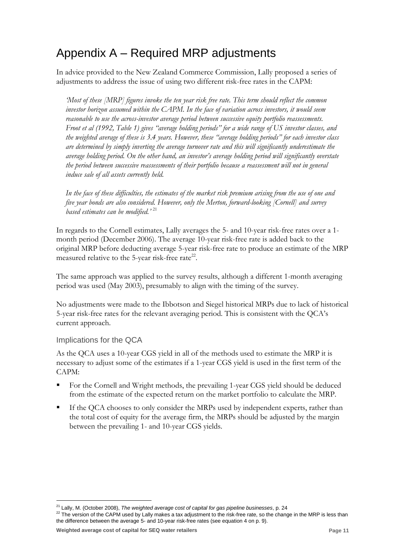# Appendix A – Required MRP adjustments

In advice provided to the New Zealand Commerce Commission, Lally proposed a series of adjustments to address the issue of using two different risk-free rates in the CAPM:

*'Most of these [MRP] figures invoke the ten year risk free rate. This term should reflect the common investor horizon assumed within the CAPM. In the face of variation across investors, it would seem reasonable to use the across-investor average period between successive equity portfolio reassessments. Froot et al (1992, Table 1) gives "average holding periods" for a wide range of US investor classes, and the weighted average of these is 3.4 years. However, these "average holding periods" for each investor class are determined by simply inverting the average turnover rate and this will significantly underestimate the average holding period. On the other hand, an investor's average holding period will significantly overstate the period between successive reassessments of their portfolio because a reassessment will not in general induce sale of all assets currently held.* 

*In the face of these difficulties, the estimates of the market risk premium arising from the use of one and five year bonds are also considered. However, only the Merton, forward-looking [Cornell] and survey based estimates can be modified.'* <sup>21</sup>

In regards to the Cornell estimates, Lally averages the 5- and 10-year risk-free rates over a 1 month period (December 2006). The average 10-year risk-free rate is added back to the original MRP before deducting average 5-year risk-free rate to produce an estimate of the MRP measured relative to the 5-year risk-free rate<sup>22</sup>.

The same approach was applied to the survey results, although a different 1-month averaging period was used (May 2003), presumably to align with the timing of the survey.

No adjustments were made to the Ibbotson and Siegel historical MRPs due to lack of historical 5-year risk-free rates for the relevant averaging period. This is consistent with the QCA's current approach.

# Implications for the QCA

-

As the QCA uses a 10-year CGS yield in all of the methods used to estimate the MRP it is necessary to adjust some of the estimates if a 1-year CGS yield is used in the first term of the CAPM:

- For the Cornell and Wright methods, the prevailing 1-year CGS yield should be deduced from the estimate of the expected return on the market portfolio to calculate the MRP.
- If the QCA chooses to only consider the MRPs used by independent experts, rather than the total cost of equity for the average firm, the MRPs should be adjusted by the margin between the prevailing 1- and 10-year CGS yields.

**Weighted average cost of capital for SEQ water retailers Page 11**

<sup>21</sup> Lally, M. (October 2008), *The weighted average cost of capital for gas pipeline businesses*, p. 24

<sup>&</sup>lt;sup>22</sup> The version of the CAPM used by Lally makes a tax adjustment to the risk-free rate, so the change in the MRP is less than the difference between the average 5- and 10-year risk-free rates (see equation 4 on p. 9).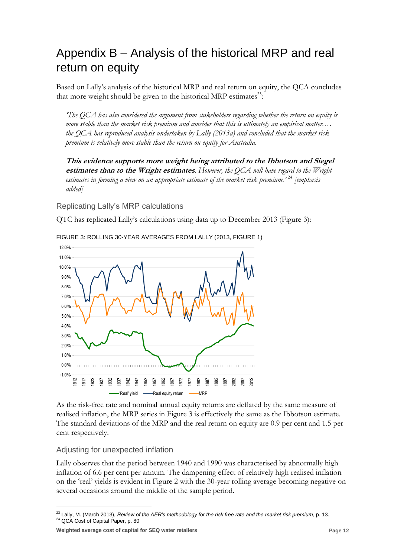# Appendix B – Analysis of the historical MRP and real return on equity

Based on Lally's analysis of the historical MRP and real return on equity, the QCA concludes that more weight should be given to the historical MRP estimates<sup>23</sup>:

*'The QCA has also considered the argument from stakeholders regarding whether the return on equity is more stable than the market risk premium and consider that this is ultimately an empirical matter.… the QCA has reproduced analysis undertaken by Lally (2013a) and concluded that the market risk premium is relatively more stable than the return on equity for Australia.*

**This evidence supports more weight being attributed to the Ibbotson and Siegel estimates than to the Wright estimates***. However, the QCA will have regard to the Wright estimates in forming a view on an appropriate estimate of the market risk premium.'* <sup>24</sup> *[emphasis added]*

Replicating Lally's MRP calculations

QTC has replicated Lally's calculations using data up to December 2013 (Figure 3):



FIGURE 3: ROLLING 30-YEAR AVERAGES FROM LALLY (2013, FIGURE 1)

As the risk-free rate and nominal annual equity returns are deflated by the same measure of realised inflation, the MRP series in Figure 3 is effectively the same as the Ibbotson estimate. The standard deviations of the MRP and the real return on equity are 0.9 per cent and 1.5 per cent respectively.

# Adjusting for unexpected inflation

Lally observes that the period between 1940 and 1990 was characterised by abnormally high inflation of 6.6 per cent per annum. The dampening effect of relatively high realised inflation on the 'real' yields is evident in Figure 2 with the 30-year rolling average becoming negative on several occasions around the middle of the sample period.

<sup>&</sup>lt;u>.</u> <sup>23</sup> Lally, M. (March 2013), *Review of the AER's methodology for the risk free rate and the market risk premium*, p. 13. <sup>24</sup> QCA Cost of Capital Paper, p. 80

**Weighted average cost of capital for SEQ water retailers Page 12 Page 12 Page 12**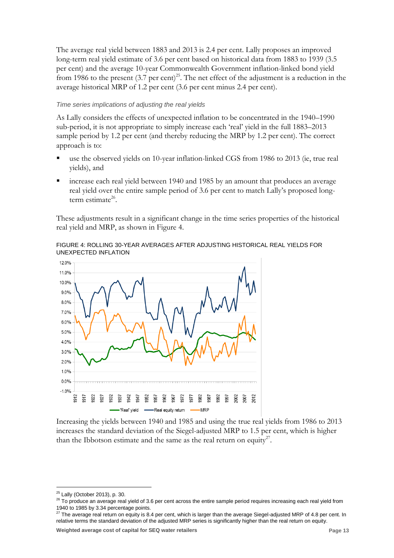The average real yield between 1883 and 2013 is 2.4 per cent. Lally proposes an improved long-term real yield estimate of 3.6 per cent based on historical data from 1883 to 1939 (3.5 per cent) and the average 10-year Commonwealth Government inflation-linked bond yield from 1986 to the present  $(3.7 \text{ per cent})^{25}$ . The net effect of the adjustment is a reduction in the average historical MRP of 1.2 per cent (3.6 per cent minus 2.4 per cent).

#### *Time series implications of adjusting the real yields*

As Lally considers the effects of unexpected inflation to be concentrated in the 1940–1990 sub-period, it is not appropriate to simply increase each 'real' yield in the full 1883–2013 sample period by 1.2 per cent (and thereby reducing the MRP by 1.2 per cent). The correct approach is to:

- use the observed yields on 10-year inflation-linked CGS from 1986 to 2013 (ie, true real yields), and
- increase each real yield between 1940 and 1985 by an amount that produces an average real yield over the entire sample period of 3.6 per cent to match Lally's proposed longterm estimate<sup>26</sup>.

These adjustments result in a significant change in the time series properties of the historical real yield and MRP, as shown in Figure 4.





Increasing the yields between 1940 and 1985 and using the true real yields from 1986 to 2013 increases the standard deviation of the Siegel-adjusted MRP to 1.5 per cent, which is higher than the Ibbotson estimate and the same as the real return on equity<sup>27</sup>.

<sup>&</sup>lt;u>.</u> <sup>25</sup> Lally (October 2013), p. 30.

<sup>&</sup>lt;sup>26</sup> To produce an average real yield of 3.6 per cent across the entire sample period requires increasing each real yield from 1940 to 1985 by 3.34 percentage points.

<sup>&</sup>lt;sup>27</sup> The average real return on equity is 8.4 per cent, which is larger than the average Siegel-adjusted MRP of 4.8 per cent. In relative terms the standard deviation of the adjusted MRP series is significantly higher than the real return on equity.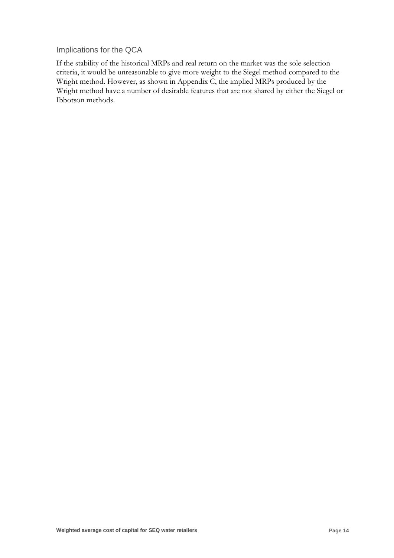Implications for the QCA

If the stability of the historical MRPs and real return on the market was the sole selection criteria, it would be unreasonable to give more weight to the Siegel method compared to the Wright method. However, as shown in Appendix C, the implied MRPs produced by the Wright method have a number of desirable features that are not shared by either the Siegel or Ibbotson methods.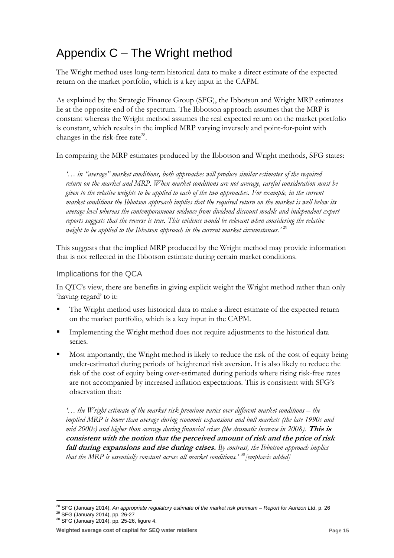# Appendix C – The Wright method

The Wright method uses long-term historical data to make a direct estimate of the expected return on the market portfolio, which is a key input in the CAPM.

As explained by the Strategic Finance Group (SFG), the Ibbotson and Wright MRP estimates lie at the opposite end of the spectrum. The Ibbotson approach assumes that the MRP is constant whereas the Wright method assumes the real expected return on the market portfolio is constant, which results in the implied MRP varying inversely and point-for-point with changes in the risk-free rate<sup>28</sup>.

In comparing the MRP estimates produced by the Ibbotson and Wright methods, SFG states:

*'… in "average" market conditions, both approaches will produce similar estimates of the required return on the market and MRP. When market conditions are not average, careful consideration must be given to the relative weights to be applied to each of the two approaches. For example, in the current market conditions the Ibbotson approach implies that the required return on the market is well below its average level whereas the contemporaneous evidence from dividend discount models and independent expert reports suggests that the reverse is true. This evidence would be relevant when considering the relative weight to be applied to the Ibbotson approach in the current market circumstances.'* <sup>29</sup>

This suggests that the implied MRP produced by the Wright method may provide information that is not reflected in the Ibbotson estimate during certain market conditions.

# Implications for the QCA

In QTC's view, there are benefits in giving explicit weight the Wright method rather than only 'having regard' to it:

- The Wright method uses historical data to make a direct estimate of the expected return on the market portfolio, which is a key input in the CAPM.
- Implementing the Wright method does not require adjustments to the historical data series.
- Most importantly, the Wright method is likely to reduce the risk of the cost of equity being under-estimated during periods of heightened risk aversion. It is also likely to reduce the risk of the cost of equity being over-estimated during periods where rising risk-free rates are not accompanied by increased inflation expectations. This is consistent with SFG's observation that:

*'… the Wright estimate of the market risk premium varies over different market conditions – the implied MRP is lower than average during economic expansions and bull markets (the late 1990s and mid 2000s) and higher than average during financial crises (the dramatic increase in 2008).* **This is consistent with the notion that the perceived amount of risk and the price of risk fall during expansions and rise during crises.** *By contrast, the Ibbotson approach implies that the MRP is essentially constant across all market conditions.'* <sup>30</sup>*[emphasis added]*

<sup>28</sup> SFG (January 2014), *An appropriate regulatory estimate of the market risk premium – Report for Aurizon Ltd*, p. 26

<sup>29</sup> SFG (January 2014), pp. 26-27

<sup>30</sup> SFG (January 2014), pp. 25-26, figure 4.

**Weighted average cost of capital for SEQ water retailers Page 15**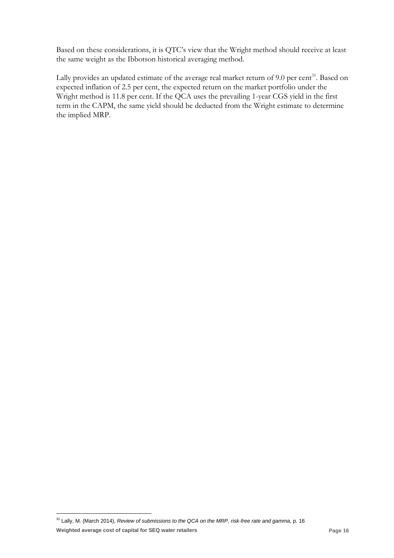Based on these considerations, it is QTC's view that the Wright method should receive at least the same weight as the Ibbotson historical averaging method.

Lally provides an updated estimate of the average real market return of 9.0 per cent<sup>31</sup>. Based on expected inflation of 2.5 per cent, the expected return on the market portfolio under the Wright method is 11.8 per cent. If the QCA uses the prevailing 1-year CGS yield in the first term in the CAPM, the same yield should be deducted from the Wright estimate to determine the implied MRP.

**Weighted average cost of capital for SEQ water retailers Page 16** <sup>31</sup> Lally, M. (March 2014), *Review of submissions to the QCA on the MRP, risk-free rate and gamma*, p. 16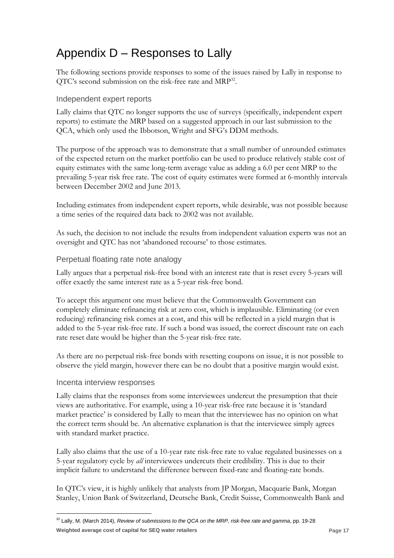# Appendix D – Responses to Lally

The following sections provide responses to some of the issues raised by Lally in response to  $QTC's$  second submission on the risk-free rate and  $MRP^{32}$ .

# Independent expert reports

Lally claims that QTC no longer supports the use of surveys (specifically, independent expert reports) to estimate the MRP based on a suggested approach in our last submission to the QCA, which only used the Ibbotson, Wright and SFG's DDM methods.

The purpose of the approach was to demonstrate that a small number of unrounded estimates of the expected return on the market portfolio can be used to produce relatively stable cost of equity estimates with the same long-term average value as adding a 6.0 per cent MRP to the prevailing 5-year risk free rate. The cost of equity estimates were formed at 6-monthly intervals between December 2002 and June 2013.

Including estimates from independent expert reports, while desirable, was not possible because a time series of the required data back to 2002 was not available.

As such, the decision to not include the results from independent valuation experts was not an oversight and QTC has not 'abandoned recourse' to those estimates.

# Perpetual floating rate note analogy

Lally argues that a perpetual risk-free bond with an interest rate that is reset every 5-years will offer exactly the same interest rate as a 5-year risk-free bond.

To accept this argument one must believe that the Commonwealth Government can completely eliminate refinancing risk at zero cost, which is implausible. Eliminating (or even reducing) refinancing risk comes at a cost, and this will be reflected in a yield margin that is added to the 5-year risk-free rate. If such a bond was issued, the correct discount rate on each rate reset date would be higher than the 5-year risk-free rate.

As there are no perpetual risk-free bonds with resetting coupons on issue, it is not possible to observe the yield margin, however there can be no doubt that a positive margin would exist.

# Incenta interview responses

-

Lally claims that the responses from some interviewees undercut the presumption that their views are authoritative. For example, using a 10-year risk-free rate because it is 'standard market practice' is considered by Lally to mean that the interviewee has no opinion on what the correct term should be. An alternative explanation is that the interviewee simply agrees with standard market practice.

Lally also claims that the use of a 10-year rate risk-free rate to value regulated businesses on a 5-year regulatory cycle by *all* interviewees undercuts their credibility. This is due to their implicit failure to understand the difference between fixed-rate and floating-rate bonds.

In QTC's view, it is highly unlikely that analysts from JP Morgan, Macquarie Bank, Morgan Stanley, Union Bank of Switzerland, Deutsche Bank, Credit Suisse, Commonwealth Bank and

**Weighted average cost of capital for SEQ water retailers Page 17** <sup>32</sup> Lally, M. (March 2014), *Review of submissions to the QCA on the MRP, risk-free rate and gamma*, pp. 19-28